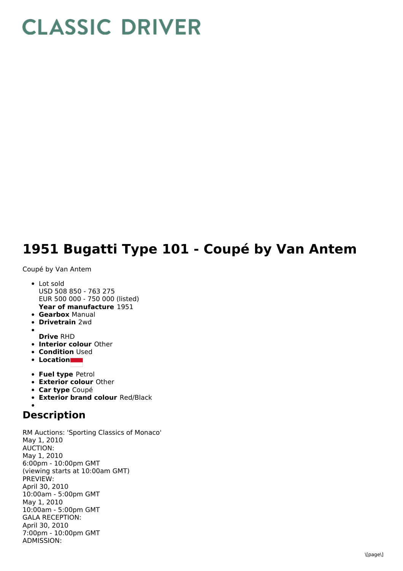## **CLASSIC DRIVER**

## **1951 Bugatti Type 101 - Coupé by Van Antem**

Coupé by Van Antem

- **Year of manufacture** 1951 • Lot sold USD 508 850 - 763 275 EUR 500 000 - 750 000 (listed)
- **Gearbox** Manual
- **Drivetrain** 2wd
- **Drive** RHD
- **Interior colour** Other
- **Condition Used**
- **Location**
- **Fuel type** Petrol
- **Exterior colour** Other
- **Car type** Coupé
- **Exterior brand colour** Red/Black

## **Description**

RM Auctions: 'Sporting Classics of Monaco' May 1, 2010 AUCTION: May 1, 2010 6:00pm - 10:00pm GMT (viewing starts at 10:00am GMT) PREVIEW: April 30, 2010 10:00am - 5:00pm GMT May 1, 2010 10:00am - 5:00pm GMT GALA RECEPTION: April 30, 2010 7:00pm - 10:00pm GMT ADMISSION: